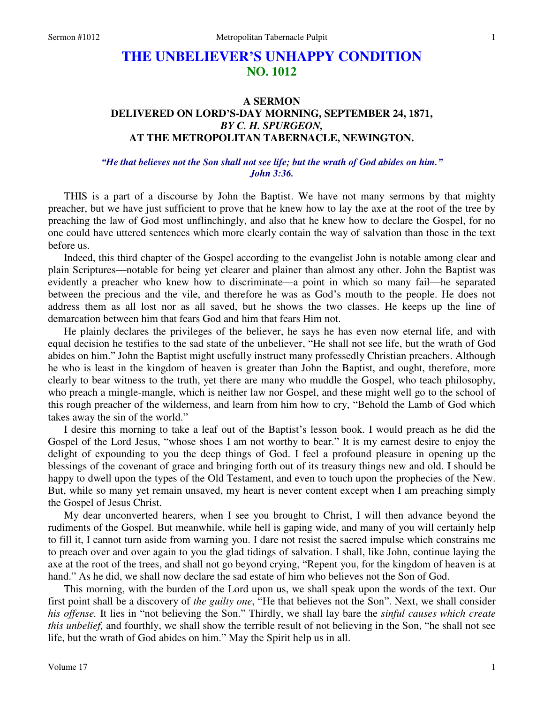# **THE UNBELIEVER'S UNHAPPY CONDITION NO. 1012**

# **A SERMON DELIVERED ON LORD'S-DAY MORNING, SEPTEMBER 24, 1871,**  *BY C. H. SPURGEON,*  **AT THE METROPOLITAN TABERNACLE, NEWINGTON.**

### *"He that believes not the Son shall not see life; but the wrath of God abides on him." John 3:36.*

THIS is a part of a discourse by John the Baptist. We have not many sermons by that mighty preacher, but we have just sufficient to prove that he knew how to lay the axe at the root of the tree by preaching the law of God most unflinchingly, and also that he knew how to declare the Gospel, for no one could have uttered sentences which more clearly contain the way of salvation than those in the text before us.

Indeed, this third chapter of the Gospel according to the evangelist John is notable among clear and plain Scriptures—notable for being yet clearer and plainer than almost any other. John the Baptist was evidently a preacher who knew how to discriminate—a point in which so many fail—he separated between the precious and the vile, and therefore he was as God's mouth to the people. He does not address them as all lost nor as all saved, but he shows the two classes. He keeps up the line of demarcation between him that fears God and him that fears Him not.

He plainly declares the privileges of the believer, he says he has even now eternal life, and with equal decision he testifies to the sad state of the unbeliever, "He shall not see life, but the wrath of God abides on him." John the Baptist might usefully instruct many professedly Christian preachers. Although he who is least in the kingdom of heaven is greater than John the Baptist, and ought, therefore, more clearly to bear witness to the truth, yet there are many who muddle the Gospel, who teach philosophy, who preach a mingle-mangle, which is neither law nor Gospel, and these might well go to the school of this rough preacher of the wilderness, and learn from him how to cry, "Behold the Lamb of God which takes away the sin of the world."

I desire this morning to take a leaf out of the Baptist's lesson book. I would preach as he did the Gospel of the Lord Jesus, "whose shoes I am not worthy to bear." It is my earnest desire to enjoy the delight of expounding to you the deep things of God. I feel a profound pleasure in opening up the blessings of the covenant of grace and bringing forth out of its treasury things new and old. I should be happy to dwell upon the types of the Old Testament, and even to touch upon the prophecies of the New. But, while so many yet remain unsaved, my heart is never content except when I am preaching simply the Gospel of Jesus Christ.

My dear unconverted hearers, when I see you brought to Christ, I will then advance beyond the rudiments of the Gospel. But meanwhile, while hell is gaping wide, and many of you will certainly help to fill it, I cannot turn aside from warning you. I dare not resist the sacred impulse which constrains me to preach over and over again to you the glad tidings of salvation. I shall, like John, continue laying the axe at the root of the trees, and shall not go beyond crying, "Repent you, for the kingdom of heaven is at hand." As he did, we shall now declare the sad estate of him who believes not the Son of God.

This morning, with the burden of the Lord upon us, we shall speak upon the words of the text. Our first point shall be a discovery of *the guilty one*, "He that believes not the Son". Next, we shall consider *his offense.* It lies in "not believing the Son." Thirdly, we shall lay bare the *sinful causes which create this unbelief,* and fourthly, we shall show the terrible result of not believing in the Son, "he shall not see life, but the wrath of God abides on him." May the Spirit help us in all.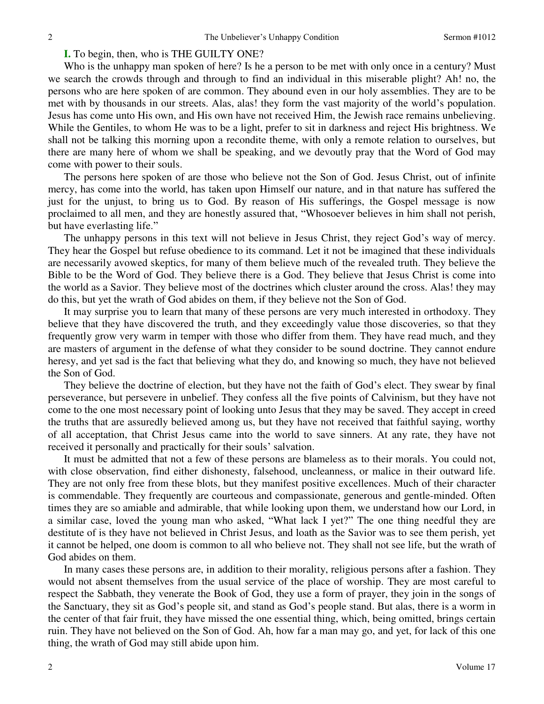### **I.** To begin, then, who is THE GUILTY ONE?

Who is the unhappy man spoken of here? Is he a person to be met with only once in a century? Must we search the crowds through and through to find an individual in this miserable plight? Ah! no, the persons who are here spoken of are common. They abound even in our holy assemblies. They are to be met with by thousands in our streets. Alas, alas! they form the vast majority of the world's population. Jesus has come unto His own, and His own have not received Him, the Jewish race remains unbelieving. While the Gentiles, to whom He was to be a light, prefer to sit in darkness and reject His brightness. We shall not be talking this morning upon a recondite theme, with only a remote relation to ourselves, but there are many here of whom we shall be speaking, and we devoutly pray that the Word of God may come with power to their souls.

The persons here spoken of are those who believe not the Son of God. Jesus Christ, out of infinite mercy, has come into the world, has taken upon Himself our nature, and in that nature has suffered the just for the unjust, to bring us to God. By reason of His sufferings, the Gospel message is now proclaimed to all men, and they are honestly assured that, "Whosoever believes in him shall not perish, but have everlasting life."

The unhappy persons in this text will not believe in Jesus Christ, they reject God's way of mercy. They hear the Gospel but refuse obedience to its command. Let it not be imagined that these individuals are necessarily avowed skeptics, for many of them believe much of the revealed truth. They believe the Bible to be the Word of God. They believe there is a God. They believe that Jesus Christ is come into the world as a Savior. They believe most of the doctrines which cluster around the cross. Alas! they may do this, but yet the wrath of God abides on them, if they believe not the Son of God.

It may surprise you to learn that many of these persons are very much interested in orthodoxy. They believe that they have discovered the truth, and they exceedingly value those discoveries, so that they frequently grow very warm in temper with those who differ from them. They have read much, and they are masters of argument in the defense of what they consider to be sound doctrine. They cannot endure heresy, and yet sad is the fact that believing what they do, and knowing so much, they have not believed the Son of God.

They believe the doctrine of election, but they have not the faith of God's elect. They swear by final perseverance, but persevere in unbelief. They confess all the five points of Calvinism, but they have not come to the one most necessary point of looking unto Jesus that they may be saved. They accept in creed the truths that are assuredly believed among us, but they have not received that faithful saying, worthy of all acceptation, that Christ Jesus came into the world to save sinners. At any rate, they have not received it personally and practically for their souls' salvation.

It must be admitted that not a few of these persons are blameless as to their morals. You could not, with close observation, find either dishonesty, falsehood, uncleanness, or malice in their outward life. They are not only free from these blots, but they manifest positive excellences. Much of their character is commendable. They frequently are courteous and compassionate, generous and gentle-minded. Often times they are so amiable and admirable, that while looking upon them, we understand how our Lord, in a similar case, loved the young man who asked, "What lack I yet?" The one thing needful they are destitute of is they have not believed in Christ Jesus, and loath as the Savior was to see them perish, yet it cannot be helped, one doom is common to all who believe not. They shall not see life, but the wrath of God abides on them.

In many cases these persons are, in addition to their morality, religious persons after a fashion. They would not absent themselves from the usual service of the place of worship. They are most careful to respect the Sabbath, they venerate the Book of God, they use a form of prayer, they join in the songs of the Sanctuary, they sit as God's people sit, and stand as God's people stand. But alas, there is a worm in the center of that fair fruit, they have missed the one essential thing, which, being omitted, brings certain ruin. They have not believed on the Son of God. Ah, how far a man may go, and yet, for lack of this one thing, the wrath of God may still abide upon him.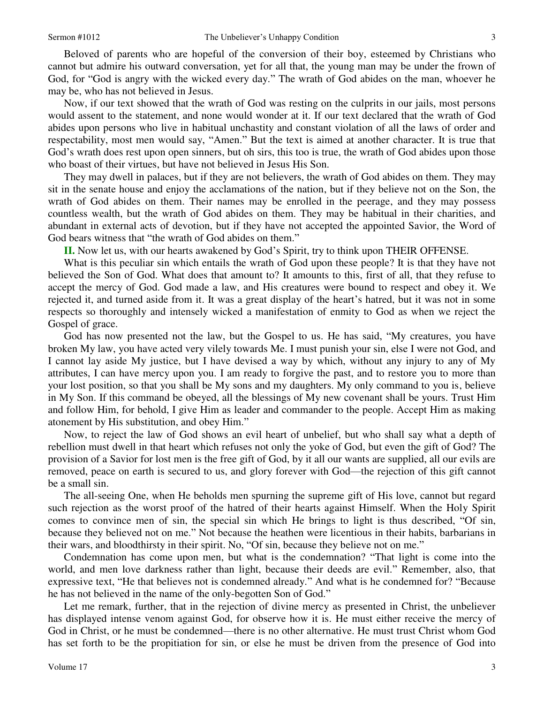Beloved of parents who are hopeful of the conversion of their boy, esteemed by Christians who cannot but admire his outward conversation, yet for all that, the young man may be under the frown of God, for "God is angry with the wicked every day." The wrath of God abides on the man, whoever he may be, who has not believed in Jesus.

Now, if our text showed that the wrath of God was resting on the culprits in our jails, most persons would assent to the statement, and none would wonder at it. If our text declared that the wrath of God abides upon persons who live in habitual unchastity and constant violation of all the laws of order and respectability, most men would say, "Amen." But the text is aimed at another character. It is true that God's wrath does rest upon open sinners, but oh sirs, this too is true, the wrath of God abides upon those who boast of their virtues, but have not believed in Jesus His Son.

They may dwell in palaces, but if they are not believers, the wrath of God abides on them. They may sit in the senate house and enjoy the acclamations of the nation, but if they believe not on the Son, the wrath of God abides on them. Their names may be enrolled in the peerage, and they may possess countless wealth, but the wrath of God abides on them. They may be habitual in their charities, and abundant in external acts of devotion, but if they have not accepted the appointed Savior, the Word of God bears witness that "the wrath of God abides on them."

**II.** Now let us, with our hearts awakened by God's Spirit, try to think upon THEIR OFFENSE.

What is this peculiar sin which entails the wrath of God upon these people? It is that they have not believed the Son of God. What does that amount to? It amounts to this, first of all, that they refuse to accept the mercy of God. God made a law, and His creatures were bound to respect and obey it. We rejected it, and turned aside from it. It was a great display of the heart's hatred, but it was not in some respects so thoroughly and intensely wicked a manifestation of enmity to God as when we reject the Gospel of grace.

God has now presented not the law, but the Gospel to us. He has said, "My creatures, you have broken My law, you have acted very vilely towards Me. I must punish your sin, else I were not God, and I cannot lay aside My justice, but I have devised a way by which, without any injury to any of My attributes, I can have mercy upon you. I am ready to forgive the past, and to restore you to more than your lost position, so that you shall be My sons and my daughters. My only command to you is, believe in My Son. If this command be obeyed, all the blessings of My new covenant shall be yours. Trust Him and follow Him, for behold, I give Him as leader and commander to the people. Accept Him as making atonement by His substitution, and obey Him."

Now, to reject the law of God shows an evil heart of unbelief, but who shall say what a depth of rebellion must dwell in that heart which refuses not only the yoke of God, but even the gift of God? The provision of a Savior for lost men is the free gift of God, by it all our wants are supplied, all our evils are removed, peace on earth is secured to us, and glory forever with God—the rejection of this gift cannot be a small sin.

The all-seeing One, when He beholds men spurning the supreme gift of His love, cannot but regard such rejection as the worst proof of the hatred of their hearts against Himself. When the Holy Spirit comes to convince men of sin, the special sin which He brings to light is thus described, "Of sin, because they believed not on me." Not because the heathen were licentious in their habits, barbarians in their wars, and bloodthirsty in their spirit. No, "Of sin, because they believe not on me."

Condemnation has come upon men, but what is the condemnation? "That light is come into the world, and men love darkness rather than light, because their deeds are evil." Remember, also, that expressive text, "He that believes not is condemned already." And what is he condemned for? "Because he has not believed in the name of the only-begotten Son of God."

Let me remark, further, that in the rejection of divine mercy as presented in Christ, the unbeliever has displayed intense venom against God, for observe how it is. He must either receive the mercy of God in Christ, or he must be condemned—there is no other alternative. He must trust Christ whom God has set forth to be the propitiation for sin, or else he must be driven from the presence of God into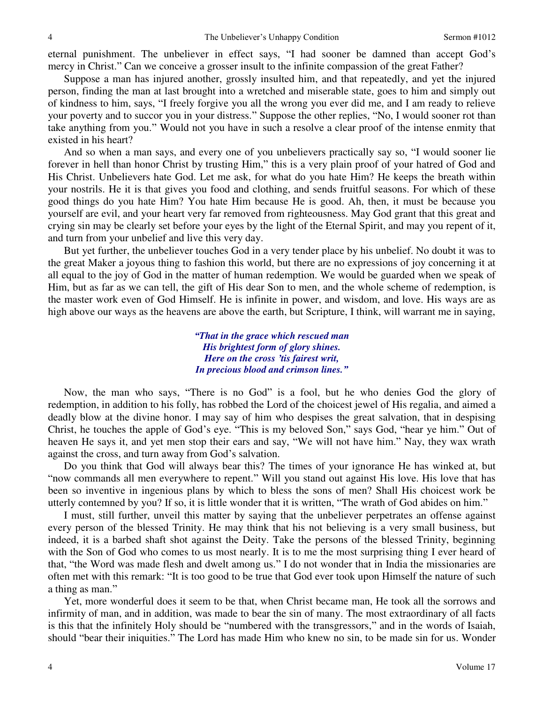eternal punishment. The unbeliever in effect says, "I had sooner be damned than accept God's mercy in Christ." Can we conceive a grosser insult to the infinite compassion of the great Father?

Suppose a man has injured another, grossly insulted him, and that repeatedly, and yet the injured person, finding the man at last brought into a wretched and miserable state, goes to him and simply out of kindness to him, says, "I freely forgive you all the wrong you ever did me, and I am ready to relieve your poverty and to succor you in your distress." Suppose the other replies, "No, I would sooner rot than take anything from you." Would not you have in such a resolve a clear proof of the intense enmity that existed in his heart?

And so when a man says, and every one of you unbelievers practically say so, "I would sooner lie forever in hell than honor Christ by trusting Him," this is a very plain proof of your hatred of God and His Christ. Unbelievers hate God. Let me ask, for what do you hate Him? He keeps the breath within your nostrils. He it is that gives you food and clothing, and sends fruitful seasons. For which of these good things do you hate Him? You hate Him because He is good. Ah, then, it must be because you yourself are evil, and your heart very far removed from righteousness. May God grant that this great and crying sin may be clearly set before your eyes by the light of the Eternal Spirit, and may you repent of it, and turn from your unbelief and live this very day.

But yet further, the unbeliever touches God in a very tender place by his unbelief. No doubt it was to the great Maker a joyous thing to fashion this world, but there are no expressions of joy concerning it at all equal to the joy of God in the matter of human redemption. We would be guarded when we speak of Him, but as far as we can tell, the gift of His dear Son to men, and the whole scheme of redemption, is the master work even of God Himself. He is infinite in power, and wisdom, and love. His ways are as high above our ways as the heavens are above the earth, but Scripture, I think, will warrant me in saying,

> *"That in the grace which rescued man His brightest form of glory shines. Here on the cross 'tis fairest writ, In precious blood and crimson lines."*

Now, the man who says, "There is no God" is a fool, but he who denies God the glory of redemption, in addition to his folly, has robbed the Lord of the choicest jewel of His regalia, and aimed a deadly blow at the divine honor. I may say of him who despises the great salvation, that in despising Christ, he touches the apple of God's eye. "This is my beloved Son," says God, "hear ye him." Out of heaven He says it, and yet men stop their ears and say, "We will not have him." Nay, they wax wrath against the cross, and turn away from God's salvation.

Do you think that God will always bear this? The times of your ignorance He has winked at, but "now commands all men everywhere to repent." Will you stand out against His love. His love that has been so inventive in ingenious plans by which to bless the sons of men? Shall His choicest work be utterly contemned by you? If so, it is little wonder that it is written, "The wrath of God abides on him."

I must, still further, unveil this matter by saying that the unbeliever perpetrates an offense against every person of the blessed Trinity. He may think that his not believing is a very small business, but indeed, it is a barbed shaft shot against the Deity. Take the persons of the blessed Trinity, beginning with the Son of God who comes to us most nearly. It is to me the most surprising thing I ever heard of that, "the Word was made flesh and dwelt among us." I do not wonder that in India the missionaries are often met with this remark: "It is too good to be true that God ever took upon Himself the nature of such a thing as man."

Yet, more wonderful does it seem to be that, when Christ became man, He took all the sorrows and infirmity of man, and in addition, was made to bear the sin of many. The most extraordinary of all facts is this that the infinitely Holy should be "numbered with the transgressors," and in the words of Isaiah, should "bear their iniquities." The Lord has made Him who knew no sin, to be made sin for us. Wonder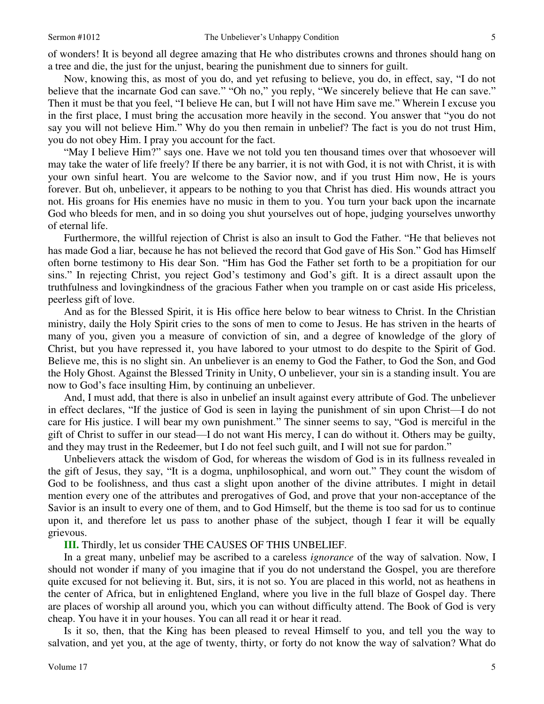of wonders! It is beyond all degree amazing that He who distributes crowns and thrones should hang on a tree and die, the just for the unjust, bearing the punishment due to sinners for guilt.

Now, knowing this, as most of you do, and yet refusing to believe, you do, in effect, say, "I do not believe that the incarnate God can save." "Oh no," you reply, "We sincerely believe that He can save." Then it must be that you feel, "I believe He can, but I will not have Him save me." Wherein I excuse you in the first place, I must bring the accusation more heavily in the second. You answer that "you do not say you will not believe Him." Why do you then remain in unbelief? The fact is you do not trust Him, you do not obey Him. I pray you account for the fact.

"May I believe Him?" says one. Have we not told you ten thousand times over that whosoever will may take the water of life freely? If there be any barrier, it is not with God, it is not with Christ, it is with your own sinful heart. You are welcome to the Savior now, and if you trust Him now, He is yours forever. But oh, unbeliever, it appears to be nothing to you that Christ has died. His wounds attract you not. His groans for His enemies have no music in them to you. You turn your back upon the incarnate God who bleeds for men, and in so doing you shut yourselves out of hope, judging yourselves unworthy of eternal life.

Furthermore, the willful rejection of Christ is also an insult to God the Father. "He that believes not has made God a liar, because he has not believed the record that God gave of His Son." God has Himself often borne testimony to His dear Son. "Him has God the Father set forth to be a propitiation for our sins." In rejecting Christ, you reject God's testimony and God's gift. It is a direct assault upon the truthfulness and lovingkindness of the gracious Father when you trample on or cast aside His priceless, peerless gift of love.

And as for the Blessed Spirit, it is His office here below to bear witness to Christ. In the Christian ministry, daily the Holy Spirit cries to the sons of men to come to Jesus. He has striven in the hearts of many of you, given you a measure of conviction of sin, and a degree of knowledge of the glory of Christ, but you have repressed it, you have labored to your utmost to do despite to the Spirit of God. Believe me, this is no slight sin. An unbeliever is an enemy to God the Father, to God the Son, and God the Holy Ghost. Against the Blessed Trinity in Unity, O unbeliever, your sin is a standing insult. You are now to God's face insulting Him, by continuing an unbeliever.

And, I must add, that there is also in unbelief an insult against every attribute of God. The unbeliever in effect declares, "If the justice of God is seen in laying the punishment of sin upon Christ—I do not care for His justice. I will bear my own punishment." The sinner seems to say, "God is merciful in the gift of Christ to suffer in our stead—I do not want His mercy, I can do without it. Others may be guilty, and they may trust in the Redeemer, but I do not feel such guilt, and I will not sue for pardon."

Unbelievers attack the wisdom of God, for whereas the wisdom of God is in its fullness revealed in the gift of Jesus, they say, "It is a dogma, unphilosophical, and worn out." They count the wisdom of God to be foolishness, and thus cast a slight upon another of the divine attributes. I might in detail mention every one of the attributes and prerogatives of God, and prove that your non-acceptance of the Savior is an insult to every one of them, and to God Himself, but the theme is too sad for us to continue upon it, and therefore let us pass to another phase of the subject, though I fear it will be equally grievous.

**III.** Thirdly, let us consider THE CAUSES OF THIS UNBELIEF.

In a great many, unbelief may be ascribed to a careless *ignorance* of the way of salvation. Now, I should not wonder if many of you imagine that if you do not understand the Gospel, you are therefore quite excused for not believing it. But, sirs, it is not so. You are placed in this world, not as heathens in the center of Africa, but in enlightened England, where you live in the full blaze of Gospel day. There are places of worship all around you, which you can without difficulty attend. The Book of God is very cheap. You have it in your houses. You can all read it or hear it read.

Is it so, then, that the King has been pleased to reveal Himself to you, and tell you the way to salvation, and yet you, at the age of twenty, thirty, or forty do not know the way of salvation? What do

5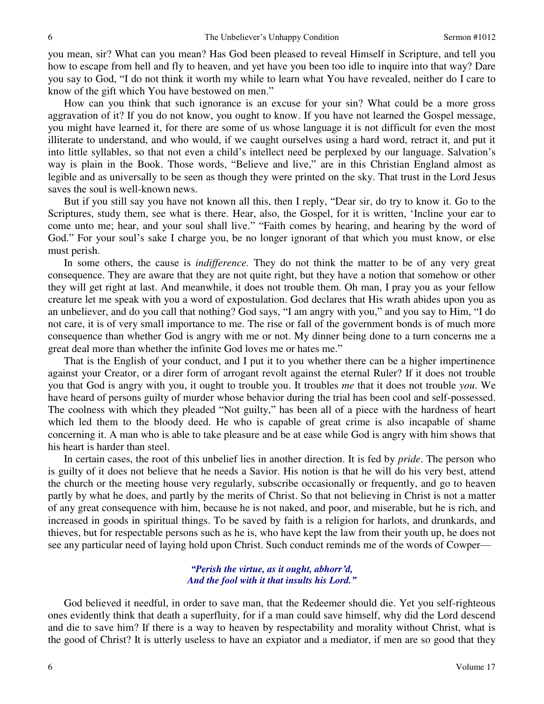you mean, sir? What can you mean? Has God been pleased to reveal Himself in Scripture, and tell you how to escape from hell and fly to heaven, and yet have you been too idle to inquire into that way? Dare you say to God, "I do not think it worth my while to learn what You have revealed, neither do I care to know of the gift which You have bestowed on men."

How can you think that such ignorance is an excuse for your sin? What could be a more gross aggravation of it? If you do not know, you ought to know. If you have not learned the Gospel message, you might have learned it, for there are some of us whose language it is not difficult for even the most illiterate to understand, and who would, if we caught ourselves using a hard word, retract it, and put it into little syllables, so that not even a child's intellect need be perplexed by our language. Salvation's way is plain in the Book. Those words, "Believe and live," are in this Christian England almost as legible and as universally to be seen as though they were printed on the sky. That trust in the Lord Jesus saves the soul is well-known news.

But if you still say you have not known all this, then I reply, "Dear sir, do try to know it. Go to the Scriptures, study them, see what is there. Hear, also, the Gospel, for it is written, 'Incline your ear to come unto me; hear, and your soul shall live." "Faith comes by hearing, and hearing by the word of God." For your soul's sake I charge you, be no longer ignorant of that which you must know, or else must perish.

In some others, the cause is *indifference.* They do not think the matter to be of any very great consequence. They are aware that they are not quite right, but they have a notion that somehow or other they will get right at last. And meanwhile, it does not trouble them. Oh man, I pray you as your fellow creature let me speak with you a word of expostulation. God declares that His wrath abides upon you as an unbeliever, and do you call that nothing? God says, "I am angry with you," and you say to Him, "I do not care, it is of very small importance to me. The rise or fall of the government bonds is of much more consequence than whether God is angry with me or not. My dinner being done to a turn concerns me a great deal more than whether the infinite God loves me or hates me."

That is the English of your conduct, and I put it to you whether there can be a higher impertinence against your Creator, or a direr form of arrogant revolt against the eternal Ruler? If it does not trouble you that God is angry with you, it ought to trouble you. It troubles *me* that it does not trouble *you*. We have heard of persons guilty of murder whose behavior during the trial has been cool and self-possessed. The coolness with which they pleaded "Not guilty," has been all of a piece with the hardness of heart which led them to the bloody deed. He who is capable of great crime is also incapable of shame concerning it. A man who is able to take pleasure and be at ease while God is angry with him shows that his heart is harder than steel.

In certain cases, the root of this unbelief lies in another direction. It is fed by *pride*. The person who is guilty of it does not believe that he needs a Savior. His notion is that he will do his very best, attend the church or the meeting house very regularly, subscribe occasionally or frequently, and go to heaven partly by what he does, and partly by the merits of Christ. So that not believing in Christ is not a matter of any great consequence with him, because he is not naked, and poor, and miserable, but he is rich, and increased in goods in spiritual things. To be saved by faith is a religion for harlots, and drunkards, and thieves, but for respectable persons such as he is, who have kept the law from their youth up, he does not see any particular need of laying hold upon Christ. Such conduct reminds me of the words of Cowper—

#### *"Perish the virtue, as it ought, abhorr'd, And the fool with it that insults his Lord."*

God believed it needful, in order to save man, that the Redeemer should die. Yet you self-righteous ones evidently think that death a superfluity, for if a man could save himself, why did the Lord descend and die to save him? If there is a way to heaven by respectability and morality without Christ, what is the good of Christ? It is utterly useless to have an expiator and a mediator, if men are so good that they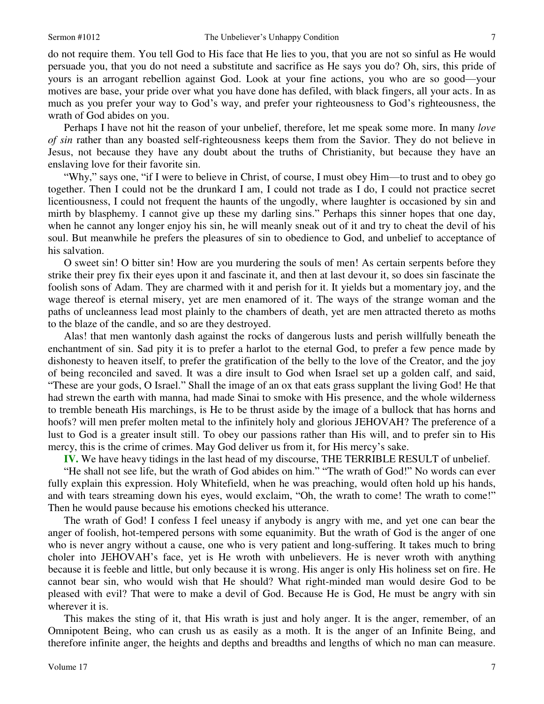do not require them. You tell God to His face that He lies to you, that you are not so sinful as He would persuade you, that you do not need a substitute and sacrifice as He says you do? Oh, sirs, this pride of yours is an arrogant rebellion against God. Look at your fine actions, you who are so good—your motives are base, your pride over what you have done has defiled, with black fingers, all your acts. In as much as you prefer your way to God's way, and prefer your righteousness to God's righteousness, the wrath of God abides on you.

Perhaps I have not hit the reason of your unbelief, therefore, let me speak some more. In many *love of sin* rather than any boasted self-righteousness keeps them from the Savior. They do not believe in Jesus, not because they have any doubt about the truths of Christianity, but because they have an enslaving love for their favorite sin.

"Why," says one, "if I were to believe in Christ, of course, I must obey Him—to trust and to obey go together. Then I could not be the drunkard I am, I could not trade as I do, I could not practice secret licentiousness, I could not frequent the haunts of the ungodly, where laughter is occasioned by sin and mirth by blasphemy. I cannot give up these my darling sins." Perhaps this sinner hopes that one day, when he cannot any longer enjoy his sin, he will meanly sneak out of it and try to cheat the devil of his soul. But meanwhile he prefers the pleasures of sin to obedience to God, and unbelief to acceptance of his salvation.

O sweet sin! O bitter sin! How are you murdering the souls of men! As certain serpents before they strike their prey fix their eyes upon it and fascinate it, and then at last devour it, so does sin fascinate the foolish sons of Adam. They are charmed with it and perish for it. It yields but a momentary joy, and the wage thereof is eternal misery, yet are men enamored of it. The ways of the strange woman and the paths of uncleanness lead most plainly to the chambers of death, yet are men attracted thereto as moths to the blaze of the candle, and so are they destroyed.

Alas! that men wantonly dash against the rocks of dangerous lusts and perish willfully beneath the enchantment of sin. Sad pity it is to prefer a harlot to the eternal God, to prefer a few pence made by dishonesty to heaven itself, to prefer the gratification of the belly to the love of the Creator, and the joy of being reconciled and saved. It was a dire insult to God when Israel set up a golden calf, and said, "These are your gods, O Israel." Shall the image of an ox that eats grass supplant the living God! He that had strewn the earth with manna, had made Sinai to smoke with His presence, and the whole wilderness to tremble beneath His marchings, is He to be thrust aside by the image of a bullock that has horns and hoofs? will men prefer molten metal to the infinitely holy and glorious JEHOVAH? The preference of a lust to God is a greater insult still. To obey our passions rather than His will, and to prefer sin to His mercy, this is the crime of crimes. May God deliver us from it, for His mercy's sake.

**IV.** We have heavy tidings in the last head of my discourse, THE TERRIBLE RESULT of unbelief.

"He shall not see life, but the wrath of God abides on him." "The wrath of God!" No words can ever fully explain this expression. Holy Whitefield, when he was preaching, would often hold up his hands, and with tears streaming down his eyes, would exclaim, "Oh, the wrath to come! The wrath to come!" Then he would pause because his emotions checked his utterance.

The wrath of God! I confess I feel uneasy if anybody is angry with me, and yet one can bear the anger of foolish, hot-tempered persons with some equanimity. But the wrath of God is the anger of one who is never angry without a cause, one who is very patient and long-suffering. It takes much to bring choler into JEHOVAH's face, yet is He wroth with unbelievers. He is never wroth with anything because it is feeble and little, but only because it is wrong. His anger is only His holiness set on fire. He cannot bear sin, who would wish that He should? What right-minded man would desire God to be pleased with evil? That were to make a devil of God. Because He is God, He must be angry with sin wherever it is.

This makes the sting of it, that His wrath is just and holy anger. It is the anger, remember, of an Omnipotent Being, who can crush us as easily as a moth. It is the anger of an Infinite Being, and therefore infinite anger, the heights and depths and breadths and lengths of which no man can measure.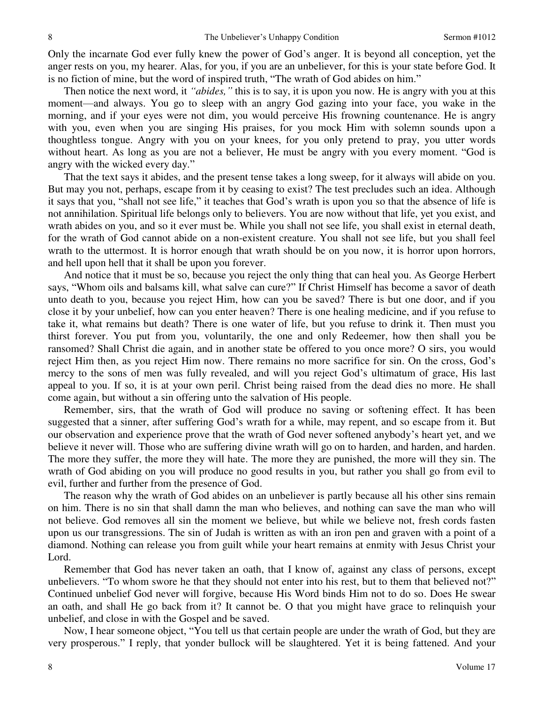Only the incarnate God ever fully knew the power of God's anger. It is beyond all conception, yet the anger rests on you, my hearer. Alas, for you, if you are an unbeliever, for this is your state before God. It is no fiction of mine, but the word of inspired truth, "The wrath of God abides on him."

Then notice the next word, it *"abides,"* this is to say, it is upon you now*.* He is angry with you at this moment—and always. You go to sleep with an angry God gazing into your face, you wake in the morning, and if your eyes were not dim, you would perceive His frowning countenance. He is angry with you, even when you are singing His praises, for you mock Him with solemn sounds upon a thoughtless tongue. Angry with you on your knees, for you only pretend to pray, you utter words without heart. As long as you are not a believer, He must be angry with you every moment. "God is angry with the wicked every day."

That the text says it abides, and the present tense takes a long sweep, for it always will abide on you. But may you not, perhaps, escape from it by ceasing to exist? The test precludes such an idea. Although it says that you, "shall not see life," it teaches that God's wrath is upon you so that the absence of life is not annihilation. Spiritual life belongs only to believers. You are now without that life, yet you exist, and wrath abides on you, and so it ever must be. While you shall not see life, you shall exist in eternal death, for the wrath of God cannot abide on a non-existent creature. You shall not see life, but you shall feel wrath to the uttermost. It is horror enough that wrath should be on you now, it is horror upon horrors, and hell upon hell that it shall be upon you forever.

And notice that it must be so, because you reject the only thing that can heal you. As George Herbert says, "Whom oils and balsams kill, what salve can cure?" If Christ Himself has become a savor of death unto death to you, because you reject Him, how can you be saved? There is but one door, and if you close it by your unbelief, how can you enter heaven? There is one healing medicine, and if you refuse to take it, what remains but death? There is one water of life, but you refuse to drink it. Then must you thirst forever. You put from you, voluntarily, the one and only Redeemer, how then shall you be ransomed? Shall Christ die again, and in another state be offered to you once more? O sirs, you would reject Him then, as you reject Him now. There remains no more sacrifice for sin. On the cross, God's mercy to the sons of men was fully revealed, and will you reject God's ultimatum of grace, His last appeal to you. If so, it is at your own peril. Christ being raised from the dead dies no more. He shall come again, but without a sin offering unto the salvation of His people.

Remember, sirs, that the wrath of God will produce no saving or softening effect. It has been suggested that a sinner, after suffering God's wrath for a while, may repent, and so escape from it. But our observation and experience prove that the wrath of God never softened anybody's heart yet, and we believe it never will. Those who are suffering divine wrath will go on to harden, and harden, and harden. The more they suffer, the more they will hate. The more they are punished, the more will they sin. The wrath of God abiding on you will produce no good results in you, but rather you shall go from evil to evil, further and further from the presence of God.

The reason why the wrath of God abides on an unbeliever is partly because all his other sins remain on him. There is no sin that shall damn the man who believes, and nothing can save the man who will not believe. God removes all sin the moment we believe, but while we believe not, fresh cords fasten upon us our transgressions. The sin of Judah is written as with an iron pen and graven with a point of a diamond. Nothing can release you from guilt while your heart remains at enmity with Jesus Christ your Lord.

Remember that God has never taken an oath, that I know of, against any class of persons, except unbelievers. "To whom swore he that they should not enter into his rest, but to them that believed not?" Continued unbelief God never will forgive, because His Word binds Him not to do so. Does He swear an oath, and shall He go back from it? It cannot be. O that you might have grace to relinquish your unbelief, and close in with the Gospel and be saved.

Now, I hear someone object, "You tell us that certain people are under the wrath of God, but they are very prosperous." I reply, that yonder bullock will be slaughtered. Yet it is being fattened. And your